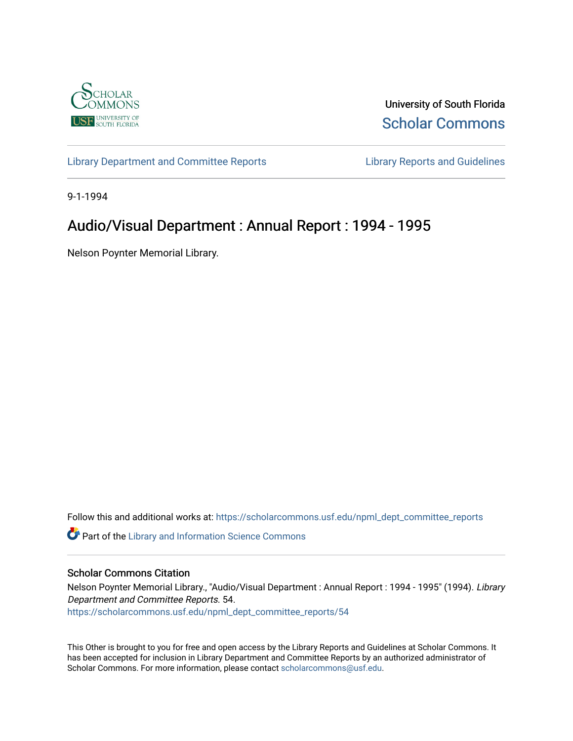

University of South Florida [Scholar Commons](https://scholarcommons.usf.edu/) 

[Library Department and Committee Reports](https://scholarcommons.usf.edu/npml_dept_committee_reports) [Library Reports and Guidelines](https://scholarcommons.usf.edu/npml_reports_guidelines_instruct_materials) 

9-1-1994

# Audio/Visual Department : Annual Report : 1994 - 1995

Nelson Poynter Memorial Library.

Follow this and additional works at: [https://scholarcommons.usf.edu/npml\\_dept\\_committee\\_reports](https://scholarcommons.usf.edu/npml_dept_committee_reports?utm_source=scholarcommons.usf.edu%2Fnpml_dept_committee_reports%2F54&utm_medium=PDF&utm_campaign=PDFCoverPages)

Part of the [Library and Information Science Commons](http://network.bepress.com/hgg/discipline/1018?utm_source=scholarcommons.usf.edu%2Fnpml_dept_committee_reports%2F54&utm_medium=PDF&utm_campaign=PDFCoverPages) 

#### Scholar Commons Citation

Nelson Poynter Memorial Library., "Audio/Visual Department : Annual Report : 1994 - 1995" (1994). Library Department and Committee Reports. 54. [https://scholarcommons.usf.edu/npml\\_dept\\_committee\\_reports/54](https://scholarcommons.usf.edu/npml_dept_committee_reports/54?utm_source=scholarcommons.usf.edu%2Fnpml_dept_committee_reports%2F54&utm_medium=PDF&utm_campaign=PDFCoverPages) 

This Other is brought to you for free and open access by the Library Reports and Guidelines at Scholar Commons. It has been accepted for inclusion in Library Department and Committee Reports by an authorized administrator of Scholar Commons. For more information, please contact [scholarcommons@usf.edu](mailto:scholarcommons@usf.edu).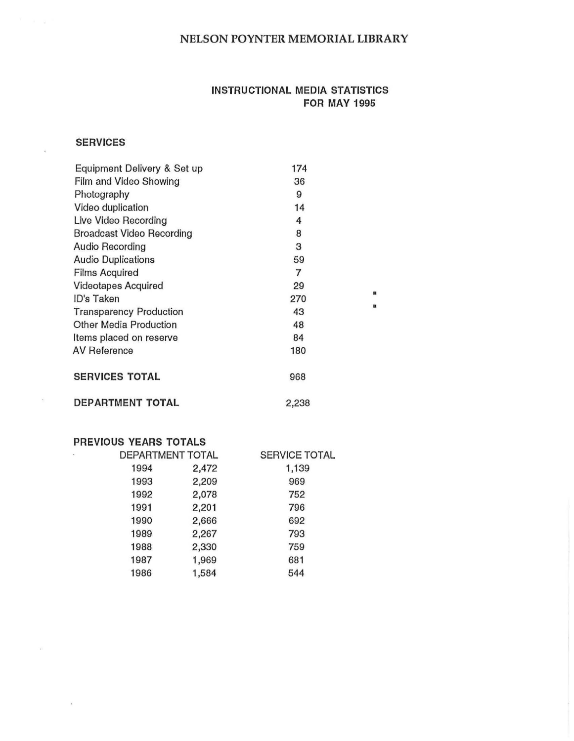### NELSON POYNTER MEMORIAL LIBRARY

## INSTRUCTIONAL MEDIA STATISTICS FOR MAY 1995

### SERVICES

| Equipment Delivery & Set up      | 174   |   |
|----------------------------------|-------|---|
| Film and Video Showing           | 36    |   |
| Photography                      | 9     |   |
| Video duplication                | 14    |   |
| Live Video Recording             | 4     |   |
| <b>Broadcast Video Recording</b> | 8     |   |
| <b>Audio Recording</b>           | 3     |   |
| <b>Audio Duplications</b>        | 59    |   |
| <b>Films Acquired</b>            | 7     |   |
| <b>Videotapes Acquired</b>       | 29    |   |
| <b>ID's Taken</b>                | 270   | п |
| <b>Transparency Production</b>   | 43    | п |
| <b>Other Media Production</b>    | 48    |   |
| Items placed on reserve          | 84    |   |
| <b>AV Reference</b>              | 180   |   |
| <b>SERVICES TOTAL</b>            | 968   |   |
| <b>DEPARTMENT TOTAL</b>          | 2,238 |   |

## PREVIOUS YEARS TOTALS

 $\ddot{\phantom{a}}$ 

| <b>DEPARTMENT TOTAL</b> |       | <b>SERVICE TOTAL</b> |  |
|-------------------------|-------|----------------------|--|
| 1994                    | 2,472 | 1,139                |  |
| 1993                    | 2,209 | 969                  |  |
| 1992                    | 2,078 | 752                  |  |
| 1991                    | 2,201 | 796                  |  |
| 1990                    | 2,666 | 692                  |  |
| 1989                    | 2,267 | 793                  |  |
| 1988                    | 2,330 | 759                  |  |
| 1987                    | 1,969 | 681                  |  |
| 1986                    | 1,584 | 544                  |  |